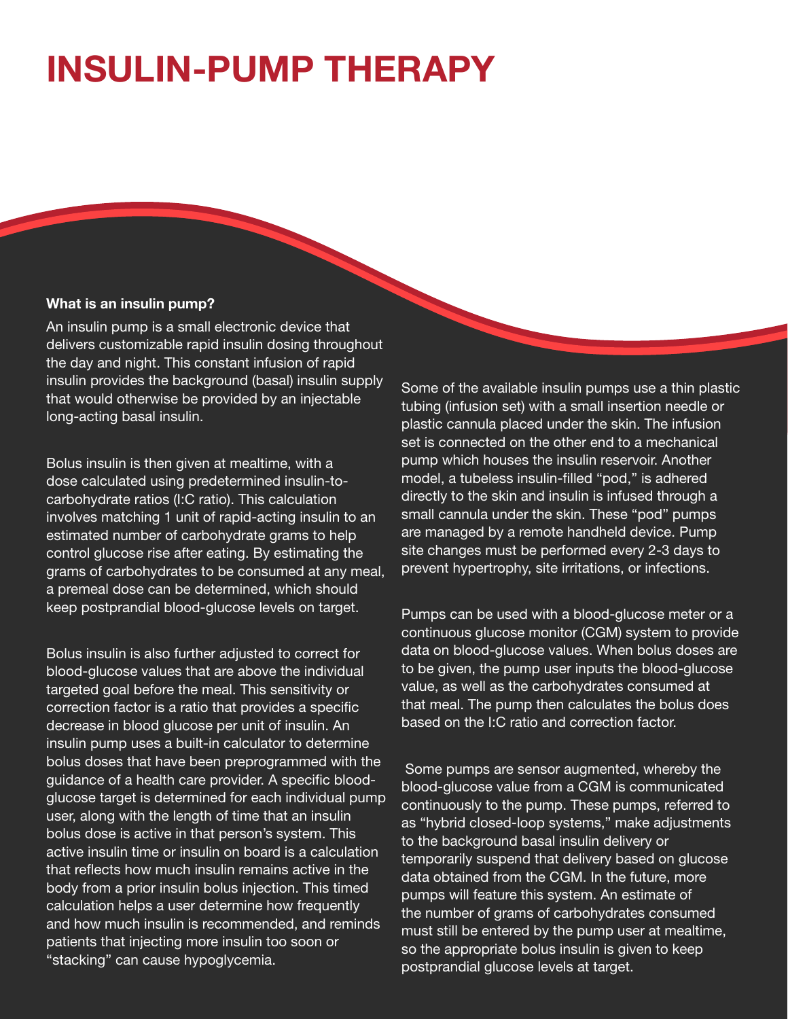## **INSULIN-PUMP THERAPY**

## What is an insulin pump?

An insulin pump is a small electronic device that delivers customizable rapid insulin dosing throughout the day and night. This constant infusion of rapid insulin provides the background (basal) insulin supply that would otherwise be provided by an injectable long-acting basal insulin.

Bolus insulin is then given at mealtime, with a dose calculated using predetermined insulin-tocarbohydrate ratios (I:C ratio). This calculation involves matching 1 unit of rapid-acting insulin to an estimated number of carbohydrate grams to help control glucose rise after eating. By estimating the grams of carbohydrates to be consumed at any meal, a premeal dose can be determined, which should keep postprandial blood-glucose levels on target.

Bolus insulin is also further adjusted to correct for blood-glucose values that are above the individual targeted goal before the meal. This sensitivity or correction factor is a ratio that provides a specific decrease in blood glucose per unit of insulin. An insulin pump uses a built-in calculator to determine bolus doses that have been preprogrammed with the guidance of a health care provider. A specific bloodglucose target is determined for each individual pump user, along with the length of time that an insulin bolus dose is active in that person's system. This active insulin time or insulin on board is a calculation that reflects how much insulin remains active in the body from a prior insulin bolus injection. This timed calculation helps a user determine how frequently and how much insulin is recommended, and reminds patients that injecting more insulin too soon or "stacking" can cause hypoglycemia.

Some of the available insulin pumps use a thin plastic tubing (infusion set) with a small insertion needle or plastic cannula placed under the skin. The infusion set is connected on the other end to a mechanical pump which houses the insulin reservoir. Another model, a tubeless insulin-filled "pod," is adhered directly to the skin and insulin is infused through a small cannula under the skin. These "pod" pumps are managed by a remote handheld device. Pump site changes must be performed every 2-3 days to prevent hypertrophy, site irritations, or infections.

Pumps can be used with a blood-glucose meter or a continuous glucose monitor (CGM) system to provide data on blood-glucose values. When bolus doses are to be given, the pump user inputs the blood-glucose value, as well as the carbohydrates consumed at that meal. The pump then calculates the bolus does based on the I:C ratio and correction factor.

 Some pumps are sensor augmented, whereby the blood-glucose value from a CGM is communicated continuously to the pump. These pumps, referred to as "hybrid closed-loop systems," make adjustments to the background basal insulin delivery or temporarily suspend that delivery based on glucose data obtained from the CGM. In the future, more pumps will feature this system. An estimate of the number of grams of carbohydrates consumed must still be entered by the pump user at mealtime, so the appropriate bolus insulin is given to keep postprandial glucose levels at target.